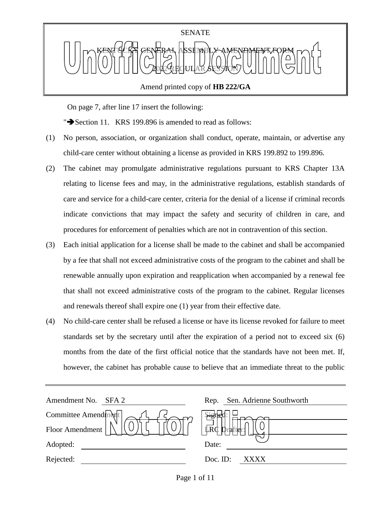

Amend printed copy of **HB 222/GA**

On page 7, after line 17 insert the following:

" $\blacktriangleright$  Section 11. KRS 199.896 is amended to read as follows:

- (1) No person, association, or organization shall conduct, operate, maintain, or advertise any child-care center without obtaining a license as provided in KRS 199.892 to 199.896.
- (2) The cabinet may promulgate administrative regulations pursuant to KRS Chapter 13A relating to license fees and may, in the administrative regulations, establish standards of care and service for a child-care center, criteria for the denial of a license if criminal records indicate convictions that may impact the safety and security of children in care, and procedures for enforcement of penalties which are not in contravention of this section.
- (3) Each initial application for a license shall be made to the cabinet and shall be accompanied by a fee that shall not exceed administrative costs of the program to the cabinet and shall be renewable annually upon expiration and reapplication when accompanied by a renewal fee that shall not exceed administrative costs of the program to the cabinet. Regular licenses and renewals thereof shall expire one (1) year from their effective date.
- (4) No child-care center shall be refused a license or have its license revoked for failure to meet standards set by the secretary until after the expiration of a period not to exceed six (6) months from the date of the first official notice that the standards have not been met. If, however, the cabinet has probable cause to believe that an immediate threat to the public

| Amendment No.<br>SFA 2 | Sen. Adrienne Southworth<br>Rep. |
|------------------------|----------------------------------|
| Committee Amendment    |                                  |
| Floor Amendment        | <b>LRC</b><br>Draffler:          |
| Adopted:               | Date:                            |
| Rejected:              | Doc. ID:<br>xxxx                 |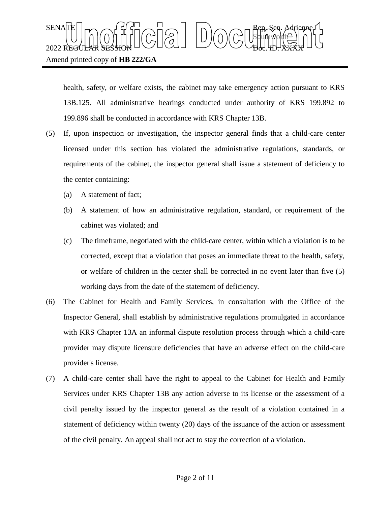health, safety, or welfare exists, the cabinet may take emergency action pursuant to KRS 13B.125. All administrative hearings conducted under authority of KRS 199.892 to 199.896 shall be conducted in accordance with KRS Chapter 13B.

- (5) If, upon inspection or investigation, the inspector general finds that a child-care center licensed under this section has violated the administrative regulations, standards, or requirements of the cabinet, the inspector general shall issue a statement of deficiency to the center containing:
	- (a) A statement of fact;
	- (b) A statement of how an administrative regulation, standard, or requirement of the cabinet was violated; and
	- (c) The timeframe, negotiated with the child-care center, within which a violation is to be corrected, except that a violation that poses an immediate threat to the health, safety, or welfare of children in the center shall be corrected in no event later than five (5) working days from the date of the statement of deficiency.
- (6) The Cabinet for Health and Family Services, in consultation with the Office of the Inspector General, shall establish by administrative regulations promulgated in accordance with KRS Chapter 13A an informal dispute resolution process through which a child-care provider may dispute licensure deficiencies that have an adverse effect on the child-care provider's license.
- (7) A child-care center shall have the right to appeal to the Cabinet for Health and Family Services under KRS Chapter 13B any action adverse to its license or the assessment of a civil penalty issued by the inspector general as the result of a violation contained in a statement of deficiency within twenty (20) days of the issuance of the action or assessment of the civil penalty. An appeal shall not act to stay the correction of a violation.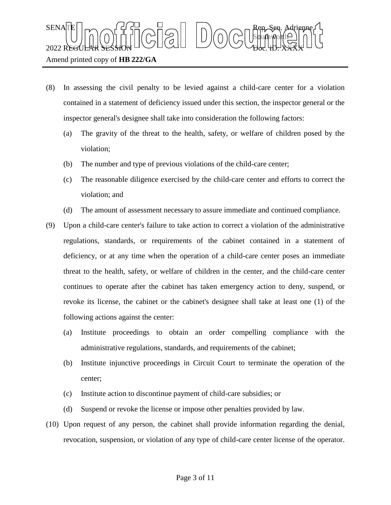$\text{SENA}[\mathbb{E} | \mid_{\mathsf{T}} \frown \bigcap_{\mathsf{S}} \mathsf{G}] \frown \bigcup_{\mathsf{S}} \bigcap_{\mathsf{S}} \bigcap_{\mathsf{S}} \bigcap_{\mathsf{S}} \bigcap_{\mathsf{S}} \bigcap_{\mathsf{S}} \mathsf{G} \mathsf{G} \bigcap_{\mathsf{S}} \mathsf{G} \mathsf{G} \bigcap_{\mathsf{S}} \mathsf{G} \bigcap_{\mathsf{S}} \mathsf{G} \bigcap_{\mathsf{S}} \mathsf{G} \bigcap_{\mathsf{S}} \mathsf{G} \bigcap_{\mathsf{S}} \mathsf{G} \big$ Sbufhworth  $2022$  REGULAR SESSION DOLLOURED DO COURT TO CHARLED.  $\chi_{\rm{H}}$ 

## Amend printed copy of **HB 222/GA**

- (8) In assessing the civil penalty to be levied against a child-care center for a violation contained in a statement of deficiency issued under this section, the inspector general or the inspector general's designee shall take into consideration the following factors:
	- (a) The gravity of the threat to the health, safety, or welfare of children posed by the violation;
	- (b) The number and type of previous violations of the child-care center;
	- (c) The reasonable diligence exercised by the child-care center and efforts to correct the violation; and
	- (d) The amount of assessment necessary to assure immediate and continued compliance.
- (9) Upon a child-care center's failure to take action to correct a violation of the administrative regulations, standards, or requirements of the cabinet contained in a statement of deficiency, or at any time when the operation of a child-care center poses an immediate threat to the health, safety, or welfare of children in the center, and the child-care center continues to operate after the cabinet has taken emergency action to deny, suspend, or revoke its license, the cabinet or the cabinet's designee shall take at least one (1) of the following actions against the center:
	- (a) Institute proceedings to obtain an order compelling compliance with the administrative regulations, standards, and requirements of the cabinet;
	- (b) Institute injunctive proceedings in Circuit Court to terminate the operation of the center;
	- (c) Institute action to discontinue payment of child-care subsidies; or
	- (d) Suspend or revoke the license or impose other penalties provided by law.
- (10) Upon request of any person, the cabinet shall provide information regarding the denial, revocation, suspension, or violation of any type of child-care center license of the operator.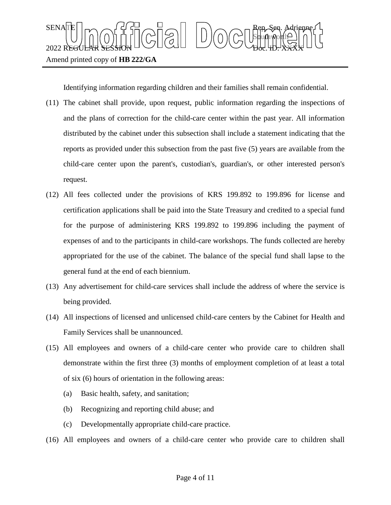

Identifying information regarding children and their families shall remain confidential.

- (11) The cabinet shall provide, upon request, public information regarding the inspections of and the plans of correction for the child-care center within the past year. All information distributed by the cabinet under this subsection shall include a statement indicating that the reports as provided under this subsection from the past five (5) years are available from the child-care center upon the parent's, custodian's, guardian's, or other interested person's request.
- (12) All fees collected under the provisions of KRS 199.892 to 199.896 for license and certification applications shall be paid into the State Treasury and credited to a special fund for the purpose of administering KRS 199.892 to 199.896 including the payment of expenses of and to the participants in child-care workshops. The funds collected are hereby appropriated for the use of the cabinet. The balance of the special fund shall lapse to the general fund at the end of each biennium.
- (13) Any advertisement for child-care services shall include the address of where the service is being provided.
- (14) All inspections of licensed and unlicensed child-care centers by the Cabinet for Health and Family Services shall be unannounced.
- (15) All employees and owners of a child-care center who provide care to children shall demonstrate within the first three (3) months of employment completion of at least a total of six (6) hours of orientation in the following areas:
	- (a) Basic health, safety, and sanitation;
	- (b) Recognizing and reporting child abuse; and
	- (c) Developmentally appropriate child-care practice.
- (16) All employees and owners of a child-care center who provide care to children shall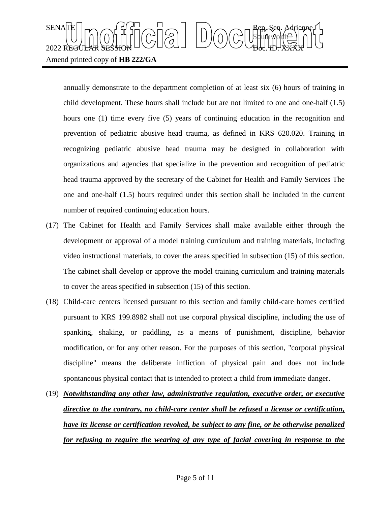## $\text{SENA}[\mathbb{E} | \mid_{\mathsf{T}} \frown \bigcap_{\mathsf{S}} \mathsf{G}] \frown \bigcup_{\mathsf{S}} \bigcap_{\mathsf{S}} \bigcap_{\mathsf{S}} \bigcap_{\mathsf{S}} \bigcap_{\mathsf{S}} \bigcap_{\mathsf{S}} \mathsf{G} \mathsf{G} \bigcap_{\mathsf{S}} \mathsf{G} \mathsf{G} \bigcap_{\mathsf{S}} \mathsf{G} \bigcap_{\mathsf{S}} \mathsf{G} \bigcap_{\mathsf{S}} \mathsf{G} \bigcap_{\mathsf{S}} \mathsf{G} \bigcap_{\mathsf{S}} \mathsf{G} \big$ Sbufhworth  $2022$  REGULAR SESSION DOLLOURED DO COURT TO CHARLED.  $\chi_{\rm{H}}$ Amend printed copy of **HB 222/GA**

annually demonstrate to the department completion of at least six (6) hours of training in child development. These hours shall include but are not limited to one and one-half (1.5) hours one (1) time every five (5) years of continuing education in the recognition and prevention of pediatric abusive head trauma, as defined in KRS 620.020. Training in recognizing pediatric abusive head trauma may be designed in collaboration with organizations and agencies that specialize in the prevention and recognition of pediatric head trauma approved by the secretary of the Cabinet for Health and Family Services The one and one-half (1.5) hours required under this section shall be included in the current number of required continuing education hours.

- (17) The Cabinet for Health and Family Services shall make available either through the development or approval of a model training curriculum and training materials, including video instructional materials, to cover the areas specified in subsection (15) of this section. The cabinet shall develop or approve the model training curriculum and training materials to cover the areas specified in subsection (15) of this section.
- (18) Child-care centers licensed pursuant to this section and family child-care homes certified pursuant to KRS 199.8982 shall not use corporal physical discipline, including the use of spanking, shaking, or paddling, as a means of punishment, discipline, behavior modification, or for any other reason. For the purposes of this section, "corporal physical discipline" means the deliberate infliction of physical pain and does not include spontaneous physical contact that is intended to protect a child from immediate danger.
- (19) *Notwithstanding any other law, administrative regulation, executive order, or executive directive to the contrary, no child-care center shall be refused a license or certification, have its license or certification revoked, be subject to any fine, or be otherwise penalized for refusing to require the wearing of any type of facial covering in response to the*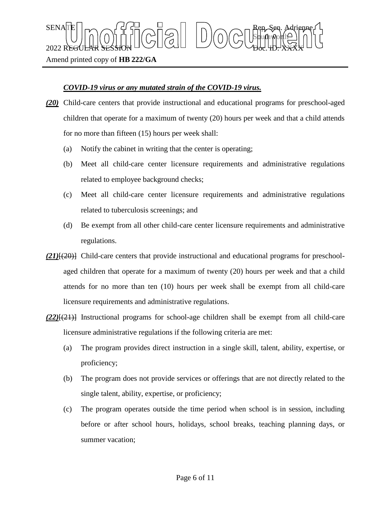Amend printed copy of **HB 222/GA**

## *COVID-19 virus or any mutated strain of the COVID-19 virus.*

 $\text{SENA}[\mathbb{E} | \mid_{\mathsf{T}} \frown \bigcap_{\mathsf{S}} \mathsf{G}] \frown \bigcup_{\mathsf{S}} \bigcap_{\mathsf{S}} \bigcap_{\mathsf{S}} \bigcap_{\mathsf{S}} \bigcap_{\mathsf{S}} \bigcap_{\mathsf{S}} \mathsf{G} \mathsf{G} \bigcap_{\mathsf{S}} \mathsf{G} \mathsf{G} \bigcap_{\mathsf{S}} \mathsf{G} \bigcap_{\mathsf{S}} \mathsf{G} \bigcap_{\mathsf{S}} \mathsf{G} \bigcap_{\mathsf{S}} \mathsf{G} \bigcap_{\mathsf{S}} \mathsf{G} \big$ 

 $2022$  REGULAR SESSION DOLLOURED DO COURT TO CHARLED.  $\chi_{\rm{H}}$ 

*(20)* Child-care centers that provide instructional and educational programs for preschool-aged children that operate for a maximum of twenty (20) hours per week and that a child attends for no more than fifteen (15) hours per week shall:

Sbufhworth

- (a) Notify the cabinet in writing that the center is operating;
- (b) Meet all child-care center licensure requirements and administrative regulations related to employee background checks;
- (c) Meet all child-care center licensure requirements and administrative regulations related to tuberculosis screenings; and
- (d) Be exempt from all other child-care center licensure requirements and administrative regulations.
- *(21)*[(20)] Child-care centers that provide instructional and educational programs for preschoolaged children that operate for a maximum of twenty (20) hours per week and that a child attends for no more than ten (10) hours per week shall be exempt from all child-care licensure requirements and administrative regulations.
- *(22)*[(21)] Instructional programs for school-age children shall be exempt from all child-care licensure administrative regulations if the following criteria are met:
	- (a) The program provides direct instruction in a single skill, talent, ability, expertise, or proficiency;
	- (b) The program does not provide services or offerings that are not directly related to the single talent, ability, expertise, or proficiency;
	- (c) The program operates outside the time period when school is in session, including before or after school hours, holidays, school breaks, teaching planning days, or summer vacation;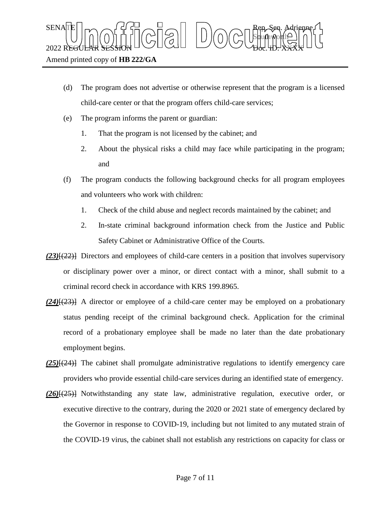- (d) The program does not advertise or otherwise represent that the program is a licensed child-care center or that the program offers child-care services;
- (e) The program informs the parent or guardian:
	- 1. That the program is not licensed by the cabinet; and
	- 2. About the physical risks a child may face while participating in the program; and
- (f) The program conducts the following background checks for all program employees and volunteers who work with children:
	- 1. Check of the child abuse and neglect records maintained by the cabinet; and
	- 2. In-state criminal background information check from the Justice and Public Safety Cabinet or Administrative Office of the Courts.
- *(23)*[(22)] Directors and employees of child-care centers in a position that involves supervisory or disciplinary power over a minor, or direct contact with a minor, shall submit to a criminal record check in accordance with KRS 199.8965.
- *(24)*[(23)] A director or employee of a child-care center may be employed on a probationary status pending receipt of the criminal background check. Application for the criminal record of a probationary employee shall be made no later than the date probationary employment begins.
- *(25)*[(24)] The cabinet shall promulgate administrative regulations to identify emergency care providers who provide essential child-care services during an identified state of emergency.
- *(26)*[(25)] Notwithstanding any state law, administrative regulation, executive order, or executive directive to the contrary, during the 2020 or 2021 state of emergency declared by the Governor in response to COVID-19, including but not limited to any mutated strain of the COVID-19 virus, the cabinet shall not establish any restrictions on capacity for class or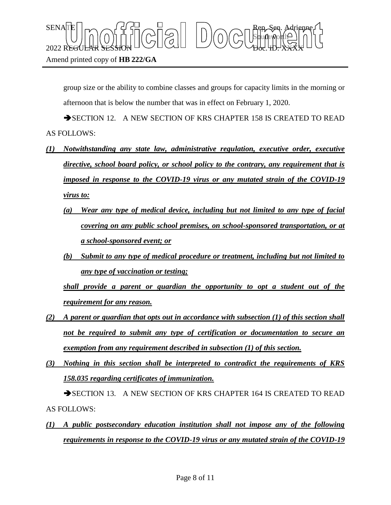$\text{SENA}[\mathbb{E} | \mid_{\mathsf{T}} \frown \bigcap_{\mathsf{S}} \mathsf{G}] \frown \bigcup_{\mathsf{S}} \bigcap_{\mathsf{S}} \bigcap_{\mathsf{S}} \bigcap_{\mathsf{S}} \bigcap_{\mathsf{S}} \bigcap_{\mathsf{S}} \mathsf{G} \mathsf{G} \bigcap_{\mathsf{S}} \mathsf{G} \mathsf{G} \bigcap_{\mathsf{S}} \mathsf{G} \bigcap_{\mathsf{S}} \mathsf{G} \bigcap_{\mathsf{S}} \mathsf{G} \bigcap_{\mathsf{S}} \mathsf{G} \bigcap_{\mathsf{S}} \mathsf{G} \big$ Sbufhworth  $2022$  REGULAR SESSION DOLLOURED DO COURT TO CHARLED.  $\chi_{\rm{H}}$ 

group size or the ability to combine classes and groups for capacity limits in the morning or afternoon that is below the number that was in effect on February 1, 2020.

SECTION 12. A NEW SECTION OF KRS CHAPTER 158 IS CREATED TO READ AS FOLLOWS:

- *(1) Notwithstanding any state law, administrative regulation, executive order, executive directive, school board policy, or school policy to the contrary, any requirement that is imposed in response to the COVID-19 virus or any mutated strain of the COVID-19 virus to:*
	- *(a) Wear any type of medical device, including but not limited to any type of facial covering on any public school premises, on school-sponsored transportation, or at a school-sponsored event; or*
	- *(b) Submit to any type of medical procedure or treatment, including but not limited to any type of vaccination or testing;*

*shall provide a parent or guardian the opportunity to opt a student out of the requirement for any reason.*

- *(2) A parent or guardian that opts out in accordance with subsection (1) of this section shall not be required to submit any type of certification or documentation to secure an exemption from any requirement described in subsection (1) of this section.*
- *(3) Nothing in this section shall be interpreted to contradict the requirements of KRS 158.035 regarding certificates of immunization.*

SECTION 13. A NEW SECTION OF KRS CHAPTER 164 IS CREATED TO READ AS FOLLOWS:

*(1) A public postsecondary education institution shall not impose any of the following requirements in response to the COVID-19 virus or any mutated strain of the COVID-19*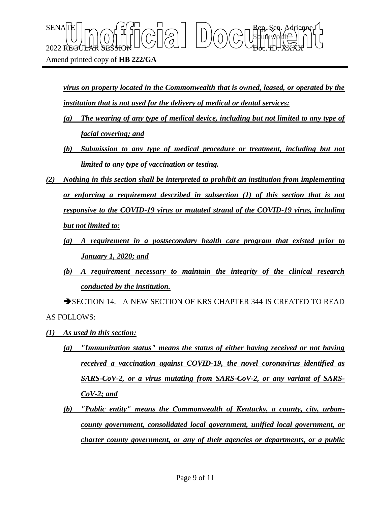$2022$  REGULAR SESSION DOLLOURED DO COURT TO CHARLED.  $\chi_{\rm{H}}$ 

Amend printed copy of **HB 222/GA**

*virus on property located in the Commonwealth that is owned, leased, or operated by the institution that is not used for the delivery of medical or dental services:*

Sbufhworth

 $\text{SENA}[\mathbb{E} | \mid_{\mathsf{T}} \frown \bigcap_{\mathsf{S}} \mathsf{G}] \frown \bigcup_{\mathsf{S}} \bigcap_{\mathsf{S}} \bigcap_{\mathsf{S}} \bigcap_{\mathsf{S}} \bigcap_{\mathsf{S}} \bigcap_{\mathsf{S}} \mathsf{G} \mathsf{G} \bigcap_{\mathsf{S}} \mathsf{G} \mathsf{G} \bigcap_{\mathsf{S}} \mathsf{G} \bigcap_{\mathsf{S}} \mathsf{G} \bigcap_{\mathsf{S}} \mathsf{G} \bigcap_{\mathsf{S}} \mathsf{G} \bigcap_{\mathsf{S}} \mathsf{G} \big$ 

- *(a) The wearing of any type of medical device, including but not limited to any type of facial covering; and*
- *(b) Submission to any type of medical procedure or treatment, including but not limited to any type of vaccination or testing.*
- *(2) Nothing in this section shall be interpreted to prohibit an institution from implementing or enforcing a requirement described in subsection (1) of this section that is not responsive to the COVID-19 virus or mutated strand of the COVID-19 virus, including but not limited to:*
	- *(a) A requirement in a postsecondary health care program that existed prior to January 1, 2020; and*
	- *(b) A requirement necessary to maintain the integrity of the clinical research conducted by the institution.*

SECTION 14. A NEW SECTION OF KRS CHAPTER 344 IS CREATED TO READ AS FOLLOWS:

- *(1) As used in this section:*
	- *(a) "Immunization status" means the status of either having received or not having received a vaccination against COVID-19, the novel coronavirus identified as SARS-CoV-2, or a virus mutating from SARS-CoV-2, or any variant of SARS-CoV-2; and*
	- *(b) "Public entity" means the Commonwealth of Kentucky, a county, city, urbancounty government, consolidated local government, unified local government, or charter county government, or any of their agencies or departments, or a public*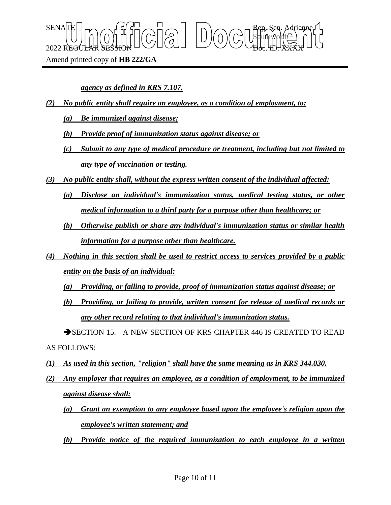$\text{SENA}[\mathbb{E} | \mid_{\mathsf{T}} \frown \bigcap_{\mathsf{S}} \mathsf{G}] \frown \bigcup_{\mathsf{S}} \bigcap_{\mathsf{S}} \bigcap_{\mathsf{S}} \bigcap_{\mathsf{S}} \bigcap_{\mathsf{S}} \bigcap_{\mathsf{S}} \mathsf{G} \mathsf{G} \bigcap_{\mathsf{S}} \mathsf{G} \mathsf{G} \bigcap_{\mathsf{S}} \mathsf{G} \bigcap_{\mathsf{S}} \mathsf{G} \bigcap_{\mathsf{S}} \mathsf{G} \bigcap_{\mathsf{S}} \mathsf{G} \bigcap_{\mathsf{S}} \mathsf{G} \big$ Sbufhworth  $2022$  REGULAR SESSION DOLLOURED DO COURT TO CHARLED.  $\chi_{\rm{H}}$ 

Amend printed copy of **HB 222/GA**

*agency as defined in KRS 7.107.*

- *(2) No public entity shall require an employee, as a condition of employment, to:*
	- *(a) Be immunized against disease;*
	- *(b) Provide proof of immunization status against disease; or*
	- *(c) Submit to any type of medical procedure or treatment, including but not limited to any type of vaccination or testing.*
- *(3) No public entity shall, without the express written consent of the individual affected:*
	- *(a) Disclose an individual's immunization status, medical testing status, or other medical information to a third party for a purpose other than healthcare; or*
	- *(b) Otherwise publish or share any individual's immunization status or similar health information for a purpose other than healthcare.*
- *(4) Nothing in this section shall be used to restrict access to services provided by a public entity on the basis of an individual:*
	- *(a) Providing, or failing to provide, proof of immunization status against disease; or*
	- *(b) Providing, or failing to provide, written consent for release of medical records or any other record relating to that individual's immunization status.*

SECTION 15. A NEW SECTION OF KRS CHAPTER 446 IS CREATED TO READ AS FOLLOWS:

- *(1) As used in this section, "religion" shall have the same meaning as in KRS 344.030.*
- *(2) Any employer that requires an employee, as a condition of employment, to be immunized against disease shall:*
	- *(a) Grant an exemption to any employee based upon the employee's religion upon the employee's written statement; and*
	- *(b) Provide notice of the required immunization to each employee in a written*